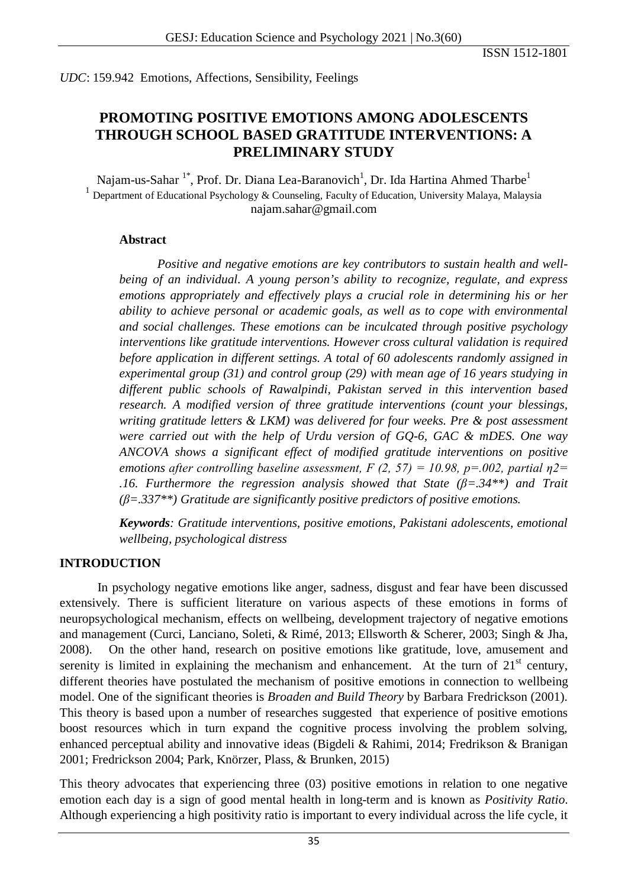*UDC*: 159.942 Emotions, Affections, Sensibility, Feelings

# **PROMOTING POSITIVE EMOTIONS AMONG ADOLESCENTS THROUGH SCHOOL BASED GRATITUDE INTERVENTIONS: A PRELIMINARY STUDY**

Najam-us-Sahar  $^{1*}$ , Prof. Dr. Diana Lea-Baranovich $^{1}$ , Dr. Ida Hartina Ahmed Tharbe $^{1}$ <sup>1</sup> Department of Educational Psychology & Counseling, Faculty of Education, University Malaya, Malaysia [najam.sahar@gmail.com](mailto:najam.sahar@gmail.com)

#### **Abstract**

*Positive and negative emotions are key contributors to sustain health and wellbeing of an individual. A young person's ability to recognize, regulate, and express emotions appropriately and effectively plays a crucial role in determining his or her ability to achieve personal or academic goals, as well as to cope with environmental and social challenges. These emotions can be inculcated through positive psychology interventions like gratitude interventions. However cross cultural validation is required before application in different settings. A total of 60 adolescents randomly assigned in experimental group (31) and control group (29) with mean age of 16 years studying in different public schools of Rawalpindi, Pakistan served in this intervention based research. A modified version of three gratitude interventions (count your blessings, writing gratitude letters & LKM) was delivered for four weeks. Pre & post assessment were carried out with the help of Urdu version of GQ-6, GAC & mDES. One way ANCOVA shows a significant effect of modified gratitude interventions on positive emotions after controlling baseline assessment, F (2, 57) = 10.98, p=.002, partial η2= .16. Furthermore the regression analysis showed that State (β=.34\*\*) and Trait (β=.337\*\*) Gratitude are significantly positive predictors of positive emotions.*

*Keywords: Gratitude interventions, positive emotions, Pakistani adolescents, emotional wellbeing, psychological distress*

# **INTRODUCTION**

In psychology negative emotions like anger, sadness, disgust and fear have been discussed extensively. There is sufficient literature on various aspects of these emotions in forms of neuropsychological mechanism, effects on wellbeing, development trajectory of negative emotions and management (Curci, Lanciano, Soleti, & Rimé, 2013; Ellsworth & Scherer, 2003; Singh & Jha, 2008). On the other hand, research on positive emotions like gratitude, love, amusement and serenity is limited in explaining the mechanism and enhancement. At the turn of  $21<sup>st</sup>$  century, different theories have postulated the mechanism of positive emotions in connection to wellbeing model. One of the significant theories is *Broaden and Build Theory* by Barbara Fredrickson (2001). This theory is based upon a number of researches suggested that experience of positive emotions boost resources which in turn expand the cognitive process involving the problem solving, enhanced perceptual ability and innovative ideas (Bigdeli & Rahimi, 2014; Fredrikson & Branigan 2001; Fredrickson 2004; Park, Knörzer, Plass, & Brunken, 2015)

This theory advocates that experiencing three (03) positive emotions in relation to one negative emotion each day is a sign of good mental health in long-term and is known as *Positivity Ratio*. Although experiencing a high positivity ratio is important to every individual across the life cycle, it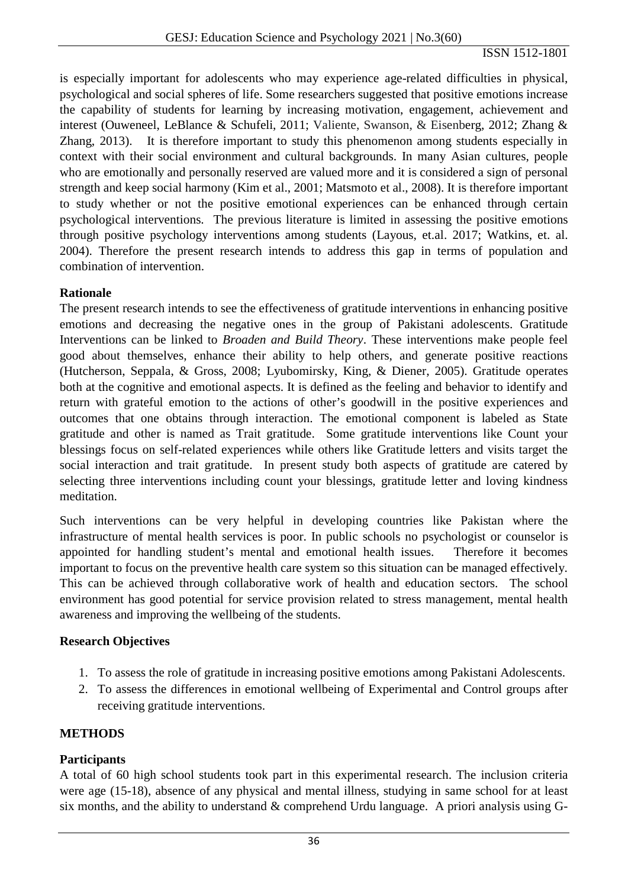is especially important for adolescents who may experience age-related difficulties in physical, psychological and social spheres of life. Some researchers suggested that positive emotions increase the capability of students for learning by increasing motivation, engagement, achievement and interest (Ouweneel, LeBlance & Schufeli, 2011; Valiente, Swanson, & Eisenberg, 2012; Zhang & Zhang, 2013). It is therefore important to study this phenomenon among students especially in context with their social environment and cultural backgrounds. In many Asian cultures, people who are emotionally and personally reserved are valued more and it is considered a sign of personal strength and keep social harmony (Kim et al., 2001; Matsmoto et al., 2008). It is therefore important to study whether or not the positive emotional experiences can be enhanced through certain psychological interventions. The previous literature is limited in assessing the positive emotions through positive psychology interventions among students (Layous, et.al. 2017; Watkins, et. al. 2004). Therefore the present research intends to address this gap in terms of population and combination of intervention.

# **Rationale**

The present research intends to see the effectiveness of gratitude interventions in enhancing positive emotions and decreasing the negative ones in the group of Pakistani adolescents. Gratitude Interventions can be linked to *Broaden and Build Theory*. These interventions make people feel good about themselves, enhance their ability to help others, and generate positive reactions (Hutcherson, Seppala, & Gross, 2008; Lyubomirsky, King, & Diener, 2005). Gratitude operates both at the cognitive and emotional aspects. It is defined as the feeling and behavior to identify and return with grateful emotion to the actions of other's goodwill in the positive experiences and outcomes that one obtains through interaction. The emotional component is labeled as State gratitude and other is named as Trait gratitude. Some gratitude interventions like Count your blessings focus on self-related experiences while others like Gratitude letters and visits target the social interaction and trait gratitude. In present study both aspects of gratitude are catered by selecting three interventions including count your blessings, gratitude letter and loving kindness meditation.

Such interventions can be very helpful in developing countries like Pakistan where the infrastructure of mental health services is poor. In public schools no psychologist or counselor is appointed for handling student's mental and emotional health issues. Therefore it becomes important to focus on the preventive health care system so this situation can be managed effectively. This can be achieved through collaborative work of health and education sectors. The school environment has good potential for service provision related to stress management, mental health awareness and improving the wellbeing of the students.

# **Research Objectives**

- 1. To assess the role of gratitude in increasing positive emotions among Pakistani Adolescents.
- 2. To assess the differences in emotional wellbeing of Experimental and Control groups after receiving gratitude interventions.

# **METHODS**

# **Participants**

A total of 60 high school students took part in this experimental research. The inclusion criteria were age (15-18), absence of any physical and mental illness, studying in same school for at least six months, and the ability to understand  $\&$  comprehend Urdu language. A priori analysis using G-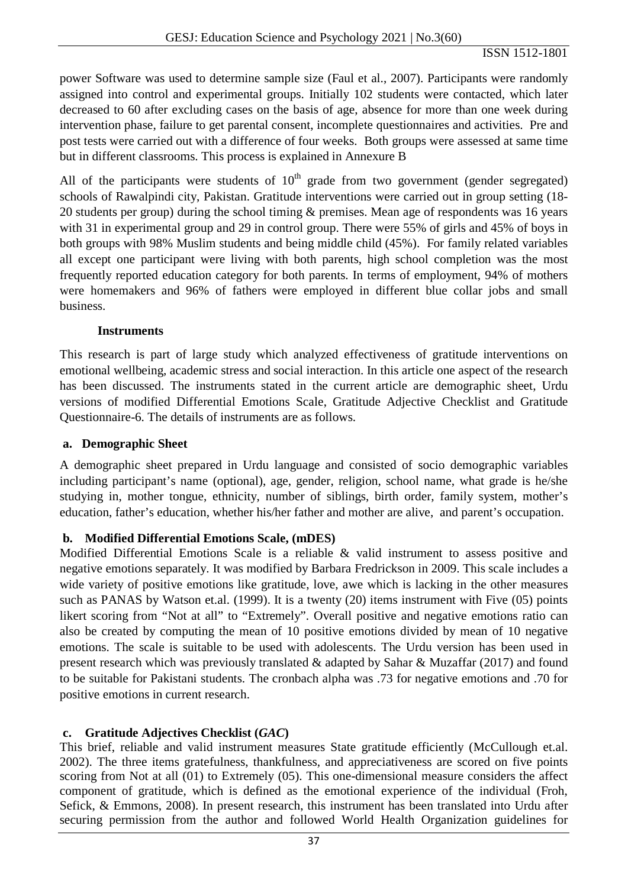power Software was used to determine sample size (Faul et al., 2007). Participants were randomly assigned into control and experimental groups. Initially 102 students were contacted, which later decreased to 60 after excluding cases on the basis of age, absence for more than one week during intervention phase, failure to get parental consent, incomplete questionnaires and activities. Pre and post tests were carried out with a difference of four weeks. Both groups were assessed at same time but in different classrooms. This process is explained in Annexure B

All of the participants were students of  $10<sup>th</sup>$  grade from two government (gender segregated) schools of Rawalpindi city, Pakistan. Gratitude interventions were carried out in group setting (18- 20 students per group) during the school timing & premises. Mean age of respondents was 16 years with 31 in experimental group and 29 in control group. There were 55% of girls and 45% of boys in both groups with 98% Muslim students and being middle child (45%). For family related variables all except one participant were living with both parents, high school completion was the most frequently reported education category for both parents. In terms of employment, 94% of mothers were homemakers and 96% of fathers were employed in different blue collar jobs and small business.

### **Instruments**

This research is part of large study which analyzed effectiveness of gratitude interventions on emotional wellbeing, academic stress and social interaction. In this article one aspect of the research has been discussed. The instruments stated in the current article are demographic sheet, Urdu versions of modified Differential Emotions Scale, Gratitude Adjective Checklist and Gratitude Questionnaire-6. The details of instruments are as follows.

## **a. Demographic Sheet**

A demographic sheet prepared in Urdu language and consisted of socio demographic variables including participant's name (optional), age, gender, religion, school name, what grade is he/she studying in, mother tongue, ethnicity, number of siblings, birth order, family system, mother's education, father's education, whether his/her father and mother are alive, and parent's occupation.

# **b. Modified Differential Emotions Scale, (mDES)**

Modified Differential Emotions Scale is a reliable & valid instrument to assess positive and negative emotions separately. It was modified by Barbara Fredrickson in 2009. This scale includes a wide variety of positive emotions like gratitude, love, awe which is lacking in the other measures such as PANAS by Watson et.al. (1999). It is a twenty (20) items instrument with Five (05) points likert scoring from "Not at all" to "Extremely". Overall positive and negative emotions ratio can also be created by computing the mean of 10 positive emotions divided by mean of 10 negative emotions. The scale is suitable to be used with adolescents. The Urdu version has been used in present research which was previously translated & adapted by Sahar & Muzaffar (2017) and found to be suitable for Pakistani students. The cronbach alpha was .73 for negative emotions and .70 for positive emotions in current research.

# **c. Gratitude Adjectives Checklist (***GAC***)**

This brief, reliable and valid instrument measures State gratitude efficiently (McCullough et.al. 2002). The three items gratefulness, thankfulness, and appreciativeness are scored on five points scoring from Not at all (01) to Extremely (05). This one-dimensional measure considers the affect component of gratitude, which is defined as the emotional experience of the individual (Froh, Sefick, & Emmons, 2008). In present research, this instrument has been translated into Urdu after securing permission from the author and followed World Health Organization guidelines for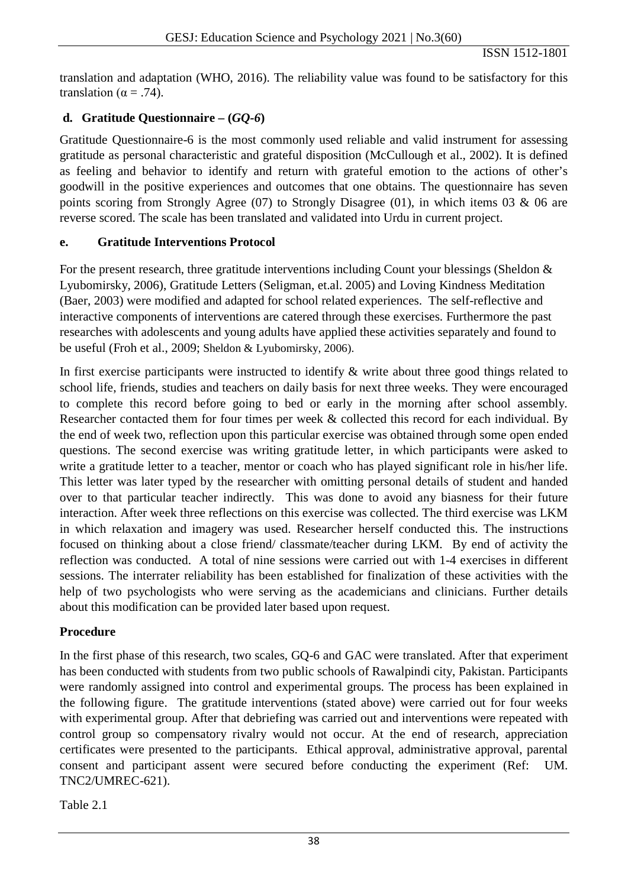translation and adaptation (WHO, 2016). The reliability value was found to be satisfactory for this translation ( $\alpha = .74$ ).

# **d. Gratitude Questionnaire – (***GQ-6***)**

Gratitude Questionnaire-6 is the most commonly used reliable and valid instrument for assessing gratitude as personal characteristic and grateful disposition (McCullough et al., 2002). It is defined as feeling and behavior to identify and return with grateful emotion to the actions of other's goodwill in the positive experiences and outcomes that one obtains. The questionnaire has seven points scoring from Strongly Agree (07) to Strongly Disagree (01), in which items 03 & 06 are reverse scored. The scale has been translated and validated into Urdu in current project.

### **e. Gratitude Interventions Protocol**

For the present research, three gratitude interventions including Count your blessings (Sheldon & Lyubomirsky, 2006), Gratitude Letters (Seligman, et.al. 2005) and Loving Kindness Meditation (Baer, 2003) were modified and adapted for school related experiences. The self-reflective and interactive components of interventions are catered through these exercises. Furthermore the past researches with adolescents and young adults have applied these activities separately and found to be useful (Froh et al., 2009; Sheldon & Lyubomirsky, 2006).

In first exercise participants were instructed to identify & write about three good things related to school life, friends, studies and teachers on daily basis for next three weeks. They were encouraged to complete this record before going to bed or early in the morning after school assembly. Researcher contacted them for four times per week & collected this record for each individual. By the end of week two, reflection upon this particular exercise was obtained through some open ended questions. The second exercise was writing gratitude letter, in which participants were asked to write a gratitude letter to a teacher, mentor or coach who has played significant role in his/her life. This letter was later typed by the researcher with omitting personal details of student and handed over to that particular teacher indirectly. This was done to avoid any biasness for their future interaction. After week three reflections on this exercise was collected. The third exercise was LKM in which relaxation and imagery was used. Researcher herself conducted this. The instructions focused on thinking about a close friend/ classmate/teacher during LKM. By end of activity the reflection was conducted. A total of nine sessions were carried out with 1-4 exercises in different sessions. The interrater reliability has been established for finalization of these activities with the help of two psychologists who were serving as the academicians and clinicians. Further details about this modification can be provided later based upon request.

# **Procedure**

In the first phase of this research, two scales, GQ-6 and GAC were translated. After that experiment has been conducted with students from two public schools of Rawalpindi city, Pakistan. Participants were randomly assigned into control and experimental groups. The process has been explained in the following figure. The gratitude interventions (stated above) were carried out for four weeks with experimental group. After that debriefing was carried out and interventions were repeated with control group so compensatory rivalry would not occur. At the end of research, appreciation certificates were presented to the participants. Ethical approval, administrative approval, parental consent and participant assent were secured before conducting the experiment (Ref: UM. TNC2/UMREC-621).

Table 2.1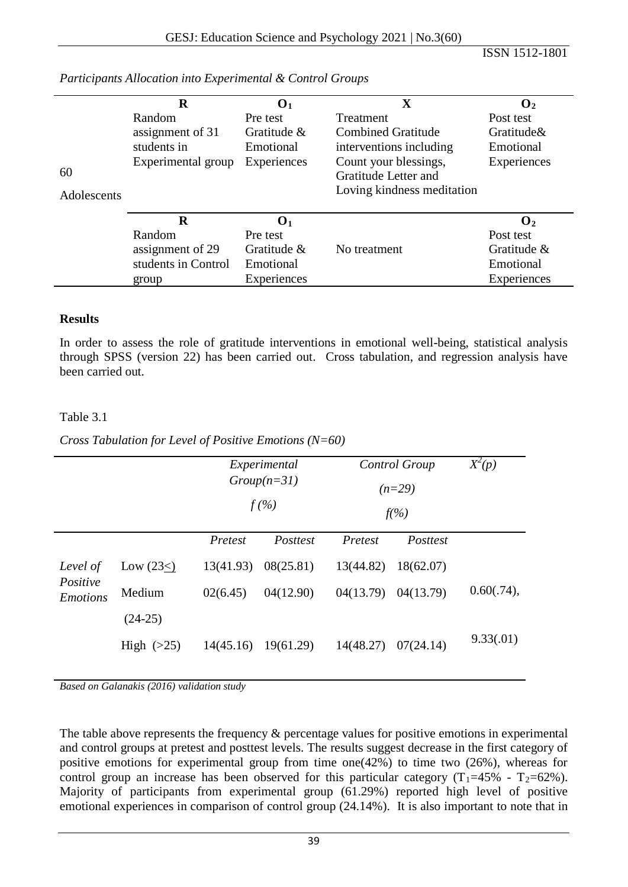|             | R                   | $\mathbf{O}_1$ | $\overline{\mathbf{X}}$    | $\mathbf{O}_2$ |
|-------------|---------------------|----------------|----------------------------|----------------|
|             | Random              | Pre test       | <b>Treatment</b>           | Post test      |
|             | assignment of 31    | Gratitude $\&$ | <b>Combined Gratitude</b>  | Gratitude&     |
|             | students in         | Emotional      | interventions including    | Emotional      |
|             | Experimental group  | Experiences    | Count your blessings,      | Experiences    |
| 60          |                     |                | Gratitude Letter and       |                |
| Adolescents |                     |                | Loving kindness meditation |                |
|             |                     |                |                            |                |
|             | R                   | $\mathbf{O}_1$ |                            | $\mathbf{O}_2$ |
|             | Random              | Pre test       |                            | Post test      |
|             | assignment of 29    | Gratitude $\&$ | No treatment               | Gratitude &    |
|             | students in Control | Emotional      |                            | Emotional      |
|             | group               | Experiences    |                            | Experiences    |

*Participants Allocation into Experimental & Control Groups*

### **Results**

In order to assess the role of gratitude interventions in emotional well-being, statistical analysis through SPSS (version 22) has been carried out. Cross tabulation, and regression analysis have been carried out.

### Table 3.1

*Cross Tabulation for Level of Positive Emotions (N=60)*

|                             |              | Experimental<br>$Group(n=31)$<br>$f(\%)$ |           |           | Control Group<br>$(n=29)$<br>$f(\%)$ |            |
|-----------------------------|--------------|------------------------------------------|-----------|-----------|--------------------------------------|------------|
|                             |              | Pretest                                  | Posttest  | Pretest   | Posttest                             |            |
| Level of                    | Low $(23<)$  | 13(41.93)                                | 08(25.81) | 13(44.82) | 18(62.07)                            |            |
| Positive<br><b>Emotions</b> | Medium       | 02(6.45)                                 | 04(12.90) | 04(13.79) | 04(13.79)                            | 0.60(.74), |
|                             | $(24-25)$    |                                          |           |           |                                      |            |
|                             | High $(>25)$ | 14(45.16)                                | 19(61.29) | 14(48.27) | 07(24.14)                            | 9.33(.01)  |

*Based on Galanakis (2016) validation study*

The table above represents the frequency  $\&$  percentage values for positive emotions in experimental and control groups at pretest and posttest levels. The results suggest decrease in the first category of positive emotions for experimental group from time one(42%) to time two (26%), whereas for control group an increase has been observed for this particular category  $(T_1=45\% - T_2=62\%)$ . Majority of participants from experimental group (61.29%) reported high level of positive emotional experiences in comparison of control group (24.14%). It is also important to note that in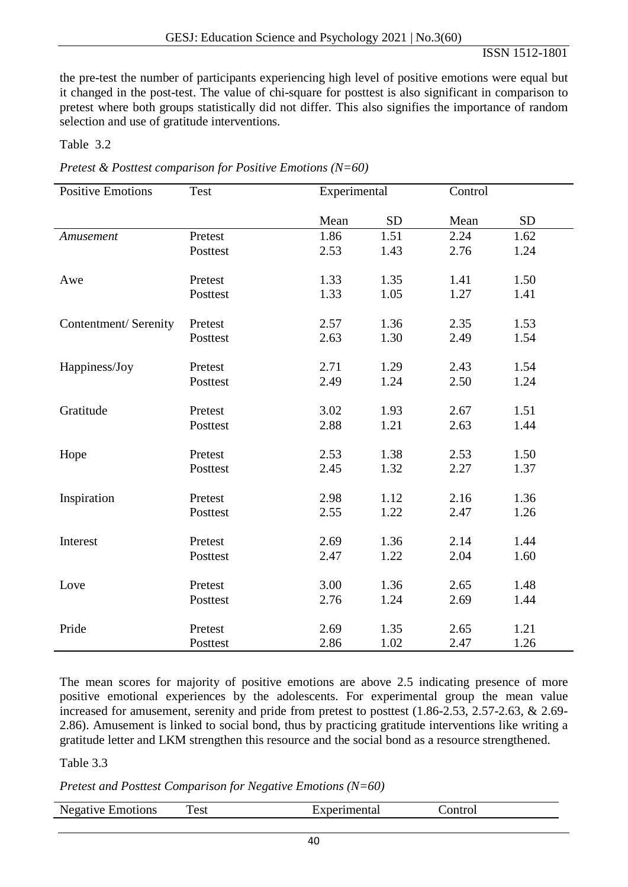the pre-test the number of participants experiencing high level of positive emotions were equal but it changed in the post-test. The value of chi-square for posttest is also significant in comparison to pretest where both groups statistically did not differ. This also signifies the importance of random selection and use of gratitude interventions.

Table 3.2

|  | Pretest & Posttest comparison for Positive Emotions ( $N=60$ ) |  |  |
|--|----------------------------------------------------------------|--|--|

| <b>Positive Emotions</b> | Test     | Experimental |           | Control |           |
|--------------------------|----------|--------------|-----------|---------|-----------|
|                          |          | Mean         | <b>SD</b> | Mean    | <b>SD</b> |
| Amusement                | Pretest  | 1.86         | 1.51      | 2.24    | 1.62      |
|                          | Posttest | 2.53         | 1.43      | 2.76    | 1.24      |
| Awe                      | Pretest  | 1.33         | 1.35      | 1.41    | 1.50      |
|                          | Posttest | 1.33         | 1.05      | 1.27    | 1.41      |
| Contentment/ Serenity    | Pretest  | 2.57         | 1.36      | 2.35    | 1.53      |
|                          | Posttest | 2.63         | 1.30      | 2.49    | 1.54      |
| Happiness/Joy            | Pretest  | 2.71         | 1.29      | 2.43    | 1.54      |
|                          | Posttest | 2.49         | 1.24      | 2.50    | 1.24      |
| Gratitude                | Pretest  | 3.02         | 1.93      | 2.67    | 1.51      |
|                          | Posttest | 2.88         | 1.21      | 2.63    | 1.44      |
| Hope                     | Pretest  | 2.53         | 1.38      | 2.53    | 1.50      |
|                          | Posttest | 2.45         | 1.32      | 2.27    | 1.37      |
| Inspiration              | Pretest  | 2.98         | 1.12      | 2.16    | 1.36      |
|                          | Posttest | 2.55         | 1.22      | 2.47    | 1.26      |
| Interest                 | Pretest  | 2.69         | 1.36      | 2.14    | 1.44      |
|                          | Posttest | 2.47         | 1.22      | 2.04    | 1.60      |
| Love                     | Pretest  | 3.00         | 1.36      | 2.65    | 1.48      |
|                          | Posttest | 2.76         | 1.24      | 2.69    | 1.44      |
| Pride                    | Pretest  | 2.69         | 1.35      | 2.65    | 1.21      |
|                          | Posttest | 2.86         | 1.02      | 2.47    | 1.26      |

The mean scores for majority of positive emotions are above 2.5 indicating presence of more positive emotional experiences by the adolescents. For experimental group the mean value increased for amusement, serenity and pride from pretest to posttest (1.86-2.53, 2.57-2.63, & 2.69- 2.86). Amusement is linked to social bond, thus by practicing gratitude interventions like writing a gratitude letter and LKM strengthen this resource and the social bond as a resource strengthened.

Table 3.3

#### *Pretest and Posttest Comparison for Negative Emotions (N=60)*

| Negat.<br>1 V.A<br>nons<br>- 1111<br>. | est <sup>-</sup> |  |
|----------------------------------------|------------------|--|
|                                        |                  |  |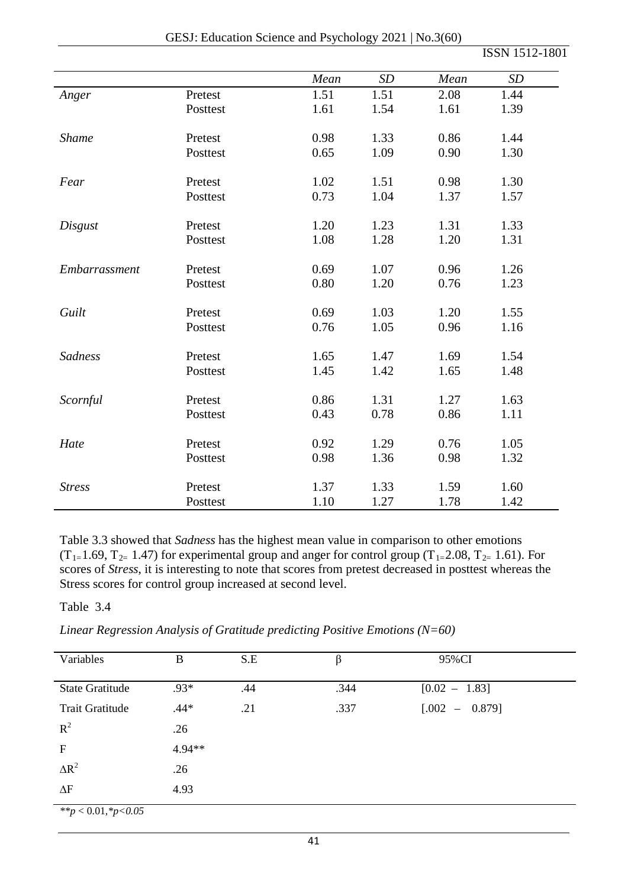| GESJ: Education Science and Psychology 2021   No.3(60) |  |  |  |
|--------------------------------------------------------|--|--|--|
|--------------------------------------------------------|--|--|--|

|                |          | Mean | SD   | Mean | SD   |
|----------------|----------|------|------|------|------|
| Anger          | Pretest  | 1.51 | 1.51 | 2.08 | 1.44 |
|                | Posttest | 1.61 | 1.54 | 1.61 | 1.39 |
| <b>Shame</b>   | Pretest  | 0.98 | 1.33 | 0.86 | 1.44 |
|                | Posttest | 0.65 | 1.09 | 0.90 | 1.30 |
| Fear           | Pretest  | 1.02 | 1.51 | 0.98 | 1.30 |
|                | Posttest | 0.73 | 1.04 | 1.37 | 1.57 |
| Disgust        | Pretest  | 1.20 | 1.23 | 1.31 | 1.33 |
|                | Posttest | 1.08 | 1.28 | 1.20 | 1.31 |
| Embarrassment  | Pretest  | 0.69 | 1.07 | 0.96 | 1.26 |
|                | Posttest | 0.80 | 1.20 | 0.76 | 1.23 |
| Guilt          | Pretest  | 0.69 | 1.03 | 1.20 | 1.55 |
|                | Posttest | 0.76 | 1.05 | 0.96 | 1.16 |
| <b>Sadness</b> | Pretest  | 1.65 | 1.47 | 1.69 | 1.54 |
|                | Posttest | 1.45 | 1.42 | 1.65 | 1.48 |
| Scornful       | Pretest  | 0.86 | 1.31 | 1.27 | 1.63 |
|                | Posttest | 0.43 | 0.78 | 0.86 | 1.11 |
| Hate           | Pretest  | 0.92 | 1.29 | 0.76 | 1.05 |
|                | Posttest | 0.98 | 1.36 | 0.98 | 1.32 |
| <b>Stress</b>  | Pretest  | 1.37 | 1.33 | 1.59 | 1.60 |
|                | Posttest | 1.10 | 1.27 | 1.78 | 1.42 |

Table 3.3 showed that *Sadness* has the highest mean value in comparison to other emotions  $(T_{1=}1.69, T_{2=}1.47)$  for experimental group and anger for control group  $(T_{1=}2.08, T_{2=}1.61)$ . For scores of *Stress*, it is interesting to note that scores from pretest decreased in posttest whereas the Stress scores for control group increased at second level.

Table 3.4

*Linear Regression Analysis of Gratitude predicting Positive Emotions (N=60)* 

| Variables              | B      | S.E | β    | 95%CI            |
|------------------------|--------|-----|------|------------------|
| <b>State Gratitude</b> | $.93*$ | .44 | .344 | $[0.02 - 1.83]$  |
| <b>Trait Gratitude</b> | $.44*$ | .21 | .337 | $[.002 - 0.879]$ |
| $R^2$                  | .26    |     |      |                  |
| $\mathbf F$            | 4.94** |     |      |                  |
| $\Delta R^2$           | .26    |     |      |                  |
| $\Delta F$             | 4.93   |     |      |                  |
| **p < 0.01, *p<0.05    |        |     |      |                  |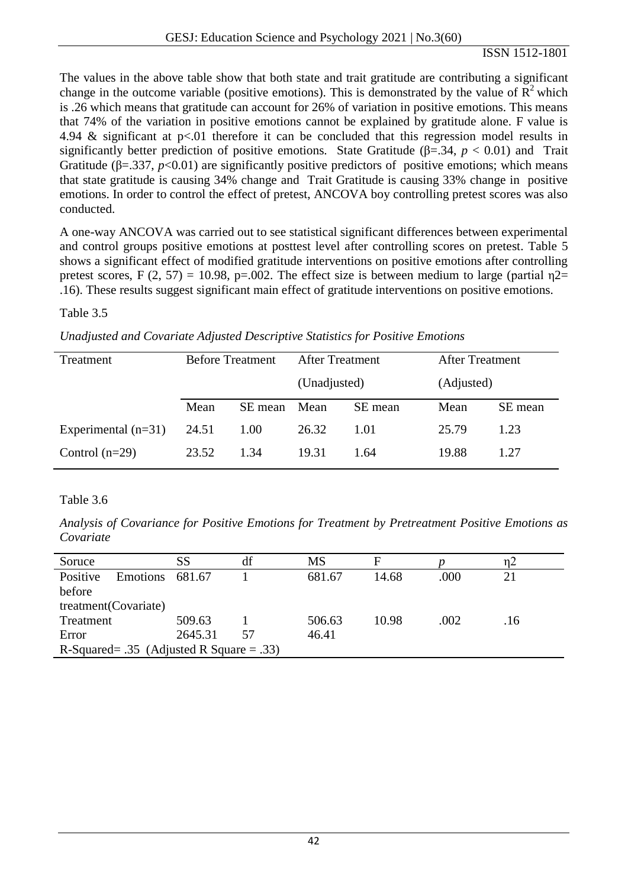The values in the above table show that both state and trait gratitude are contributing a significant change in the outcome variable (positive emotions). This is demonstrated by the value of  $\mathbb{R}^2$  which is .26 which means that gratitude can account for 26% of variation in positive emotions. This means that 74% of the variation in positive emotions cannot be explained by gratitude alone. F value is 4.94  $\&$  significant at p<.01 therefore it can be concluded that this regression model results in significantly better prediction of positive emotions. State Gratitude ( $\beta$ =.34, *p* < 0.01) and Trait Gratitude ( $\beta = 337$ ,  $p < 0.01$ ) are significantly positive predictors of positive emotions; which means that state gratitude is causing 34% change and Trait Gratitude is causing 33% change in positive emotions. In order to control the effect of pretest, ANCOVA boy controlling pretest scores was also conducted.

A one-way ANCOVA was carried out to see statistical significant differences between experimental and control groups positive emotions at posttest level after controlling scores on pretest. Table 5 shows a significant effect of modified gratitude interventions on positive emotions after controlling pretest scores, F (2, 57) = 10.98, p=.002. The effect size is between medium to large (partial  $\eta$ 2= .16). These results suggest significant main effect of gratitude interventions on positive emotions.

Table 3.5

|  |  |  |  | Unadjusted and Covariate Adjusted Descriptive Statistics for Positive Emotions |
|--|--|--|--|--------------------------------------------------------------------------------|
|--|--|--|--|--------------------------------------------------------------------------------|

| Treatment             | <b>Before Treatment</b> |         | <b>After Treatment</b> |         | After Treatment |         |
|-----------------------|-------------------------|---------|------------------------|---------|-----------------|---------|
|                       |                         |         | (Unadjusted)           |         | (Adjusted)      |         |
|                       | Mean                    | SE mean | Mean                   | SE mean | Mean            | SE mean |
| Experimental $(n=31)$ | 24.51                   | 1.00    | 26.32                  | 1.01    | 25.79           | 1.23    |
| Control $(n=29)$      | 23.52                   | 1.34    | 19.31                  | 1.64    | 19.88           | 1.27    |

Table 3.6

*Analysis of Covariance for Positive Emotions for Treatment by Pretreatment Positive Emotions as Covariate*

| Soruce                |                                          | SS      | df | MS     | F     |      | $\eta$ 2 |  |  |
|-----------------------|------------------------------------------|---------|----|--------|-------|------|----------|--|--|
| Positive              | Emotions                                 | 681.67  |    | 681.67 | 14.68 | .000 | 21       |  |  |
| before                |                                          |         |    |        |       |      |          |  |  |
| treatment (Covariate) |                                          |         |    |        |       |      |          |  |  |
| Treatment             |                                          | 509.63  |    | 506.63 | 10.98 | .002 | .16      |  |  |
| Error                 |                                          | 2645.31 | 57 | 46.41  |       |      |          |  |  |
|                       | R-Squared= .35 (Adjusted R Square = .33) |         |    |        |       |      |          |  |  |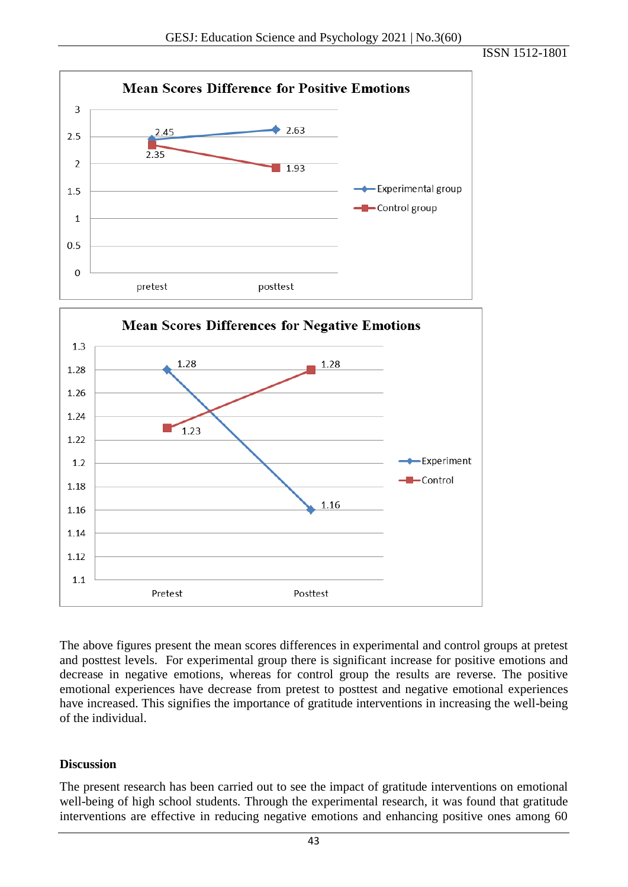



The above figures present the mean scores differences in experimental and control groups at pretest and posttest levels. For experimental group there is significant increase for positive emotions and decrease in negative emotions, whereas for control group the results are reverse. The positive emotional experiences have decrease from pretest to posttest and negative emotional experiences have increased. This signifies the importance of gratitude interventions in increasing the well-being of the individual.

#### **Discussion**

The present research has been carried out to see the impact of gratitude interventions on emotional well-being of high school students. Through the experimental research, it was found that gratitude interventions are effective in reducing negative emotions and enhancing positive ones among 60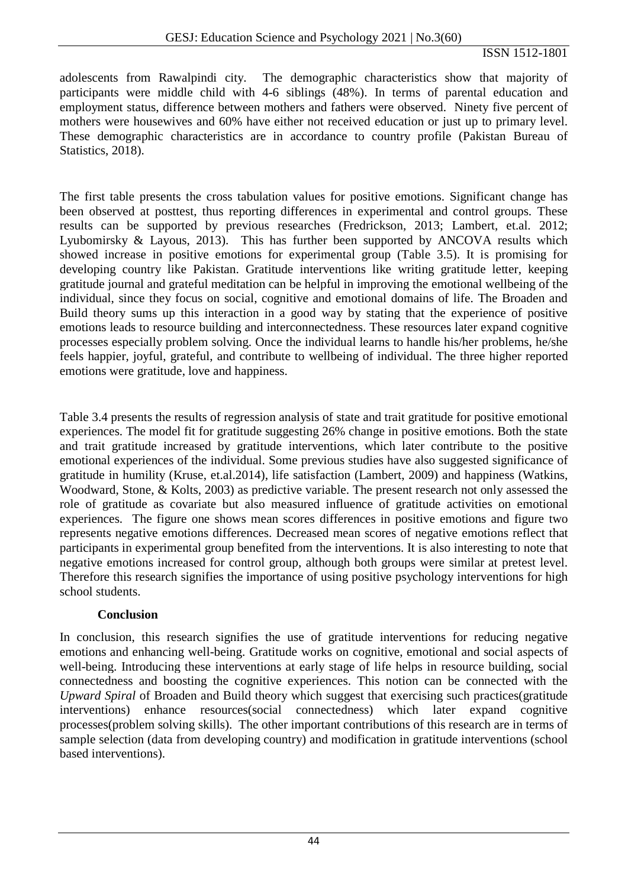adolescents from Rawalpindi city. The demographic characteristics show that majority of participants were middle child with 4-6 siblings (48%). In terms of parental education and employment status, difference between mothers and fathers were observed. Ninety five percent of mothers were housewives and 60% have either not received education or just up to primary level. These demographic characteristics are in accordance to country profile (Pakistan Bureau of Statistics, 2018).

The first table presents the cross tabulation values for positive emotions. Significant change has been observed at posttest, thus reporting differences in experimental and control groups. These results can be supported by previous researches (Fredrickson, 2013; Lambert, et.al*.* 2012; Lyubomirsky & Layous, 2013). This has further been supported by ANCOVA results which showed increase in positive emotions for experimental group (Table 3.5). It is promising for developing country like Pakistan. Gratitude interventions like writing gratitude letter, keeping gratitude journal and grateful meditation can be helpful in improving the emotional wellbeing of the individual, since they focus on social, cognitive and emotional domains of life. The Broaden and Build theory sums up this interaction in a good way by stating that the experience of positive emotions leads to resource building and interconnectedness. These resources later expand cognitive processes especially problem solving. Once the individual learns to handle his/her problems, he/she feels happier, joyful, grateful, and contribute to wellbeing of individual. The three higher reported emotions were gratitude, love and happiness.

Table 3.4 presents the results of regression analysis of state and trait gratitude for positive emotional experiences. The model fit for gratitude suggesting 26% change in positive emotions. Both the state and trait gratitude increased by gratitude interventions, which later contribute to the positive emotional experiences of the individual. Some previous studies have also suggested significance of gratitude in humility (Kruse, et.al.2014), life satisfaction (Lambert, 2009) and happiness (Watkins, Woodward, Stone, & Kolts, 2003) as predictive variable. The present research not only assessed the role of gratitude as covariate but also measured influence of gratitude activities on emotional experiences. The figure one shows mean scores differences in positive emotions and figure two represents negative emotions differences. Decreased mean scores of negative emotions reflect that participants in experimental group benefited from the interventions. It is also interesting to note that negative emotions increased for control group, although both groups were similar at pretest level. Therefore this research signifies the importance of using positive psychology interventions for high school students.

# **Conclusion**

In conclusion, this research signifies the use of gratitude interventions for reducing negative emotions and enhancing well-being. Gratitude works on cognitive, emotional and social aspects of well-being. Introducing these interventions at early stage of life helps in resource building, social connectedness and boosting the cognitive experiences. This notion can be connected with the *Upward Spiral* of Broaden and Build theory which suggest that exercising such practices(gratitude interventions) enhance resources(social connectedness) which later expand cognitive processes(problem solving skills). The other important contributions of this research are in terms of sample selection (data from developing country) and modification in gratitude interventions (school based interventions).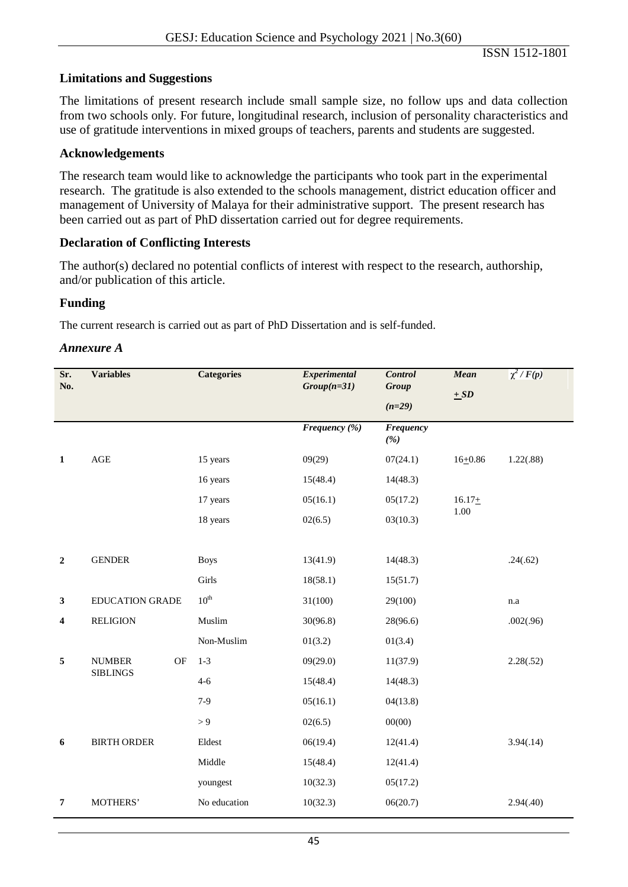### **Limitations and Suggestions**

The limitations of present research include small sample size, no follow ups and data collection from two schools only. For future, longitudinal research, inclusion of personality characteristics and use of gratitude interventions in mixed groups of teachers, parents and students are suggested.

#### **Acknowledgements**

The research team would like to acknowledge the participants who took part in the experimental research. The gratitude is also extended to the schools management, district education officer and management of University of Malaya for their administrative support. The present research has been carried out as part of PhD dissertation carried out for degree requirements.

#### **Declaration of Conflicting Interests**

The author(s) declared no potential conflicts of interest with respect to the research, authorship, and/or publication of this article.

#### **Funding**

The current research is carried out as part of PhD Dissertation and is self-funded.

#### *Annexure A*

| Sr.<br>No.              | <b>Variables</b>       |    | <b>Categories</b> | Experimental<br>$Group(n=31)$ | <b>Control</b><br><b>Group</b><br>$(n=29)$ | <b>Mean</b><br>$\pm SD$ | $\chi^2$ / $F(p)$ |
|-------------------------|------------------------|----|-------------------|-------------------------------|--------------------------------------------|-------------------------|-------------------|
|                         |                        |    |                   | Frequency (%)                 | <b>Frequency</b><br>(%)                    |                         |                   |
| $\mathbf{1}$            | $\mathbf{AGE}$         |    | 15 years          | 09(29)                        | 07(24.1)                                   | $16 + 0.86$             | 1.22(.88)         |
|                         |                        |    | 16 years          | 15(48.4)                      | 14(48.3)                                   |                         |                   |
|                         |                        |    | 17 years          | 05(16.1)                      | 05(17.2)                                   | $16.17+$                |                   |
|                         |                        |    | 18 years          | 02(6.5)                       | 03(10.3)                                   | 1.00                    |                   |
|                         |                        |    |                   |                               |                                            |                         |                   |
| $\boldsymbol{2}$        | <b>GENDER</b>          |    | <b>Boys</b>       | 13(41.9)                      | 14(48.3)                                   |                         | .24(.62)          |
|                         |                        |    | Girls             | 18(58.1)                      | 15(51.7)                                   |                         |                   |
| $\mathbf{3}$            | <b>EDUCATION GRADE</b> |    | $10^{\text{th}}$  | 31(100)                       | 29(100)                                    |                         | n.a               |
| $\overline{\mathbf{4}}$ | <b>RELIGION</b>        |    | Muslim            | 30(96.8)                      | 28(96.6)                                   |                         | .002(.96)         |
|                         |                        |    | Non-Muslim        | 01(3.2)                       | 01(3.4)                                    |                         |                   |
| 5                       | <b>NUMBER</b>          | OF | $1 - 3$           | 09(29.0)                      | 11(37.9)                                   |                         | 2.28(.52)         |
|                         | <b>SIBLINGS</b>        |    | $4 - 6$           | 15(48.4)                      | 14(48.3)                                   |                         |                   |
|                         |                        |    | $7-9$             | 05(16.1)                      | 04(13.8)                                   |                         |                   |
|                         |                        |    | > 9               | 02(6.5)                       | 00(00)                                     |                         |                   |
| 6                       | <b>BIRTH ORDER</b>     |    | Eldest            | 06(19.4)                      | 12(41.4)                                   |                         | 3.94(.14)         |
|                         |                        |    | Middle            | 15(48.4)                      | 12(41.4)                                   |                         |                   |
|                         |                        |    | youngest          | 10(32.3)                      | 05(17.2)                                   |                         |                   |
| $\overline{7}$          | MOTHERS'               |    | No education      | 10(32.3)                      | 06(20.7)                                   |                         | 2.94(.40)         |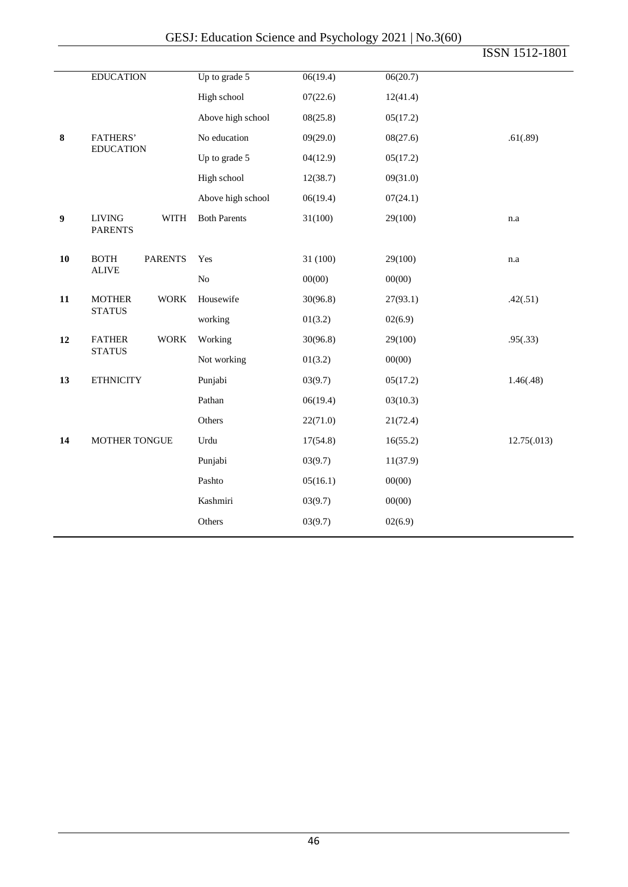|                  |                                                |                     |          |          | ISSN 1512-1801 |
|------------------|------------------------------------------------|---------------------|----------|----------|----------------|
|                  | <b>EDUCATION</b>                               | Up to grade 5       | 06(19.4) | 06(20.7) |                |
|                  |                                                | High school         | 07(22.6) | 12(41.4) |                |
|                  |                                                | Above high school   | 08(25.8) | 05(17.2) |                |
| $\bf 8$          | <b>FATHERS'</b><br><b>EDUCATION</b>            | No education        | 09(29.0) | 08(27.6) | .61(.89)       |
|                  |                                                | Up to grade 5       | 04(12.9) | 05(17.2) |                |
|                  |                                                | High school         | 12(38.7) | 09(31.0) |                |
|                  |                                                | Above high school   | 06(19.4) | 07(24.1) |                |
| $\boldsymbol{9}$ | <b>LIVING</b><br><b>WITH</b><br><b>PARENTS</b> | <b>Both Parents</b> | 31(100)  | 29(100)  | n.a            |
| 10               | <b>BOTH</b><br><b>PARENTS</b><br><b>ALIVE</b>  | Yes                 | 31 (100) | 29(100)  | n.a            |
|                  |                                                | No                  | 00(00)   | 00(00)   |                |
| 11               | <b>MOTHER</b><br><b>WORK</b><br><b>STATUS</b>  | Housewife           | 30(96.8) | 27(93.1) | .42(.51)       |
|                  |                                                | working             | 01(3.2)  | 02(6.9)  |                |
| 12               | <b>WORK</b><br><b>FATHER</b><br><b>STATUS</b>  | Working             | 30(96.8) | 29(100)  | .95(.33)       |
|                  |                                                | Not working         | 01(3.2)  | 00(00)   |                |
| 13               | <b>ETHNICITY</b>                               | Punjabi             | 03(9.7)  | 05(17.2) | 1.46(.48)      |
|                  |                                                | Pathan              | 06(19.4) | 03(10.3) |                |
|                  |                                                | Others              | 22(71.0) | 21(72.4) |                |
| 14               | MOTHER TONGUE                                  | Urdu                | 17(54.8) | 16(55.2) | 12.75(.013)    |
|                  |                                                | Punjabi             | 03(9.7)  | 11(37.9) |                |
|                  |                                                | Pashto              | 05(16.1) | 00(00)   |                |
|                  |                                                | Kashmiri            | 03(9.7)  | 00(00)   |                |
|                  |                                                | Others              | 03(9.7)  | 02(6.9)  |                |
|                  |                                                |                     |          |          |                |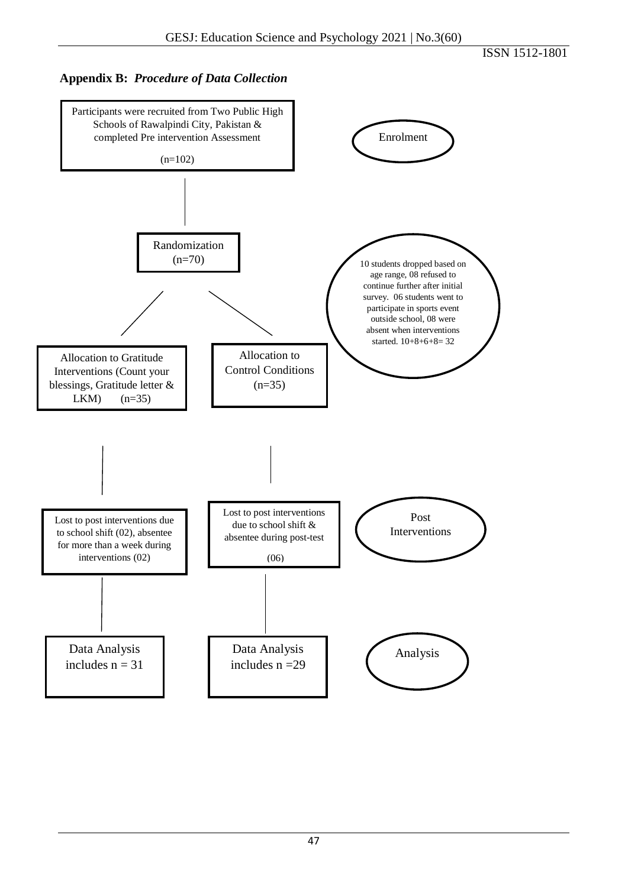## **Appendix B:** *Procedure of Data Collection*

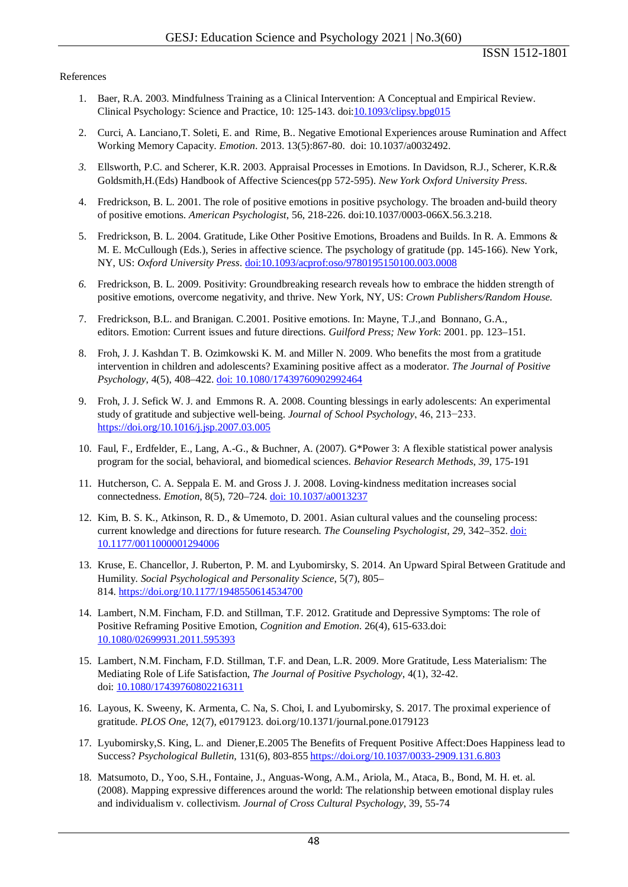#### References

- 1. Baer, R.A. 2003. Mindfulness Training as a Clinical Intervention: A Conceptual and Empirical Review. Clinical Psychology: Science and Practice, 10: 125-143. do[i:10.1093/clipsy.bpg015](https://doi.org/10.1093/clipsy.bpg015)
- 2. Curci, A. Lanciano,T. Soleti, E. and Rime, B.. Negative Emotional Experiences arouse Rumination and Affect Working Memory Capacity. *Emotion*. 2013. 13(5):867-80. doi: 10.1037/a0032492.
- *3.* Ellsworth, P.C. and Scherer, K.R. 2003. Appraisal Processes in Emotions. In Davidson, R.J., Scherer, K.R.& Goldsmith,H.(Eds) Handbook of Affective Sciences(pp 572-595). *New York Oxford University Press.*
- 4. Fredrickson, B. L. 2001. The role of positive emotions in positive psychology. The broaden and-build theory of positive emotions. *American Psychologist*, 56, 218-226. doi:10.1037/0003-066X.56.3.218.
- 5. Fredrickson, B. L. 2004. Gratitude, Like Other Positive Emotions, Broadens and Builds. In R. A. Emmons & M. E. McCullough (Eds.), Series in affective science. The psychology of gratitude (pp. 145-166). New York, NY, US: *Oxford University Press*. [doi:10.1093/acprof:oso/9780195150100.003.0008](https://psycnet.apa.org/doi/10.1093/acprof:oso/9780195150100.003.0008)
- *6.* Fredrickson, B. L. 2009. Positivity: Groundbreaking research reveals how to embrace the hidden strength of positive emotions, overcome negativity, and thrive. New York, NY, US: *Crown Publishers/Random House.*
- 7. Fredrickson, B.L. and Branigan. C.2001. Positive emotions. In: Mayne, T.J.,and Bonnano, G.A., editors. Emotion: Current issues and future directions. *Guilford Press; New York*: 2001. pp. 123–151.
- 8. Froh, J. J. Kashdan T. B. Ozimkowski K. M. and Miller N. 2009. Who benefits the most from a gratitude intervention in children and adolescents? Examining positive affect as a moderator. *The Journal of Positive Psychology*, 4(5), 408–422. [doi: 10.1080/17439760902992464](https://doi.org/10.1080/17439760902992464)
- 9. Froh, J. J. Sefick W. J. and Emmons R. A. 2008. Counting blessings in early adolescents: An experimental study of gratitude and subjective well-being. *Journal of School Psychology*, 46, 213−233. <https://doi.org/10.1016/j.jsp.2007.03.005>
- 10. Faul, F., Erdfelder, E., Lang, A.-G., & Buchner, A. (2007). G\*Power 3: A flexible statistical power analysis program for the social, behavioral, and biomedical sciences. *Behavior Research Methods*, *39*, 175-191
- 11. Hutcherson, C. A. Seppala E. M. and Gross J. J. 2008. Loving-kindness meditation increases social connectedness. *Emotion*, 8(5), 720–724. [doi: 10.1037/a0013237](https://psycnet.apa.org/doi/10.1037/a0013237)
- 12. Kim, B. S. K., Atkinson, R. D., & Umemoto, D. 2001. Asian cultural values and the counseling process: current knowledge and directions for future research. *The Counseling Psychologist, 29*, 342–352. [doi:](https://doi.org/10.1177%2F0011000001294006)  [10.1177/0011000001294006](https://doi.org/10.1177%2F0011000001294006)
- 13. Kruse, E. Chancellor, J. Ruberton, P. M. and Lyubomirsky, S. 2014. An Upward Spiral Between Gratitude and Humility. *Social Psychological and Personality Science*, 5(7), 805– 814. <https://doi.org/10.1177/1948550614534700>
- 14. Lambert, N.M. Fincham, F.D. and Stillman, T.F. 2012. Gratitude and Depressive Symptoms: The role of Positive Reframing Positive Emotion, *Cognition and Emotion*. 26(4), 615-633.doi: [10.1080/02699931.2011.595393](https://doi.org/10.1080/02699931.2011.595393)
- 15. Lambert, N.M. Fincham, F.D. Stillman, T.F. and Dean, L.R. 2009. More Gratitude, Less Materialism: The Mediating Role of Life Satisfaction, *The Journal of Positive Psychology*, 4(1), 32-42. doi: [10.1080/17439760802216311](https://doi.org/10.1080/17439760802216311)
- 16. Layous, K. Sweeny, K. Armenta, C. Na, S. Choi, I. and Lyubomirsky, S. 2017. The proximal experience of gratitude. *PLOS One*, 12(7), e0179123. doi.org/10.1371/journal.pone.0179123
- 17. Lyubomirsky,S. King, L. and Diener,E.2005 The Benefits of Frequent Positive Affect:Does Happiness lead to Success? *Psychological Bulletin,* 131(6), 803-85[5 https://doi.org/10.1037/0033-2909.131.6.803](https://psycnet.apa.org/doi/10.1037/0033-2909.131.6.803)
- 18. Matsumoto, D., Yoo, S.H., Fontaine, J., Anguas-Wong, A.M., Ariola, M., Ataca, B., Bond, M. H. et. al. (2008). Mapping expressive differences around the world: The relationship between emotional display rules and individualism v. collectivism. *Journal of Cross Cultural Psychology*, 39, 55-74